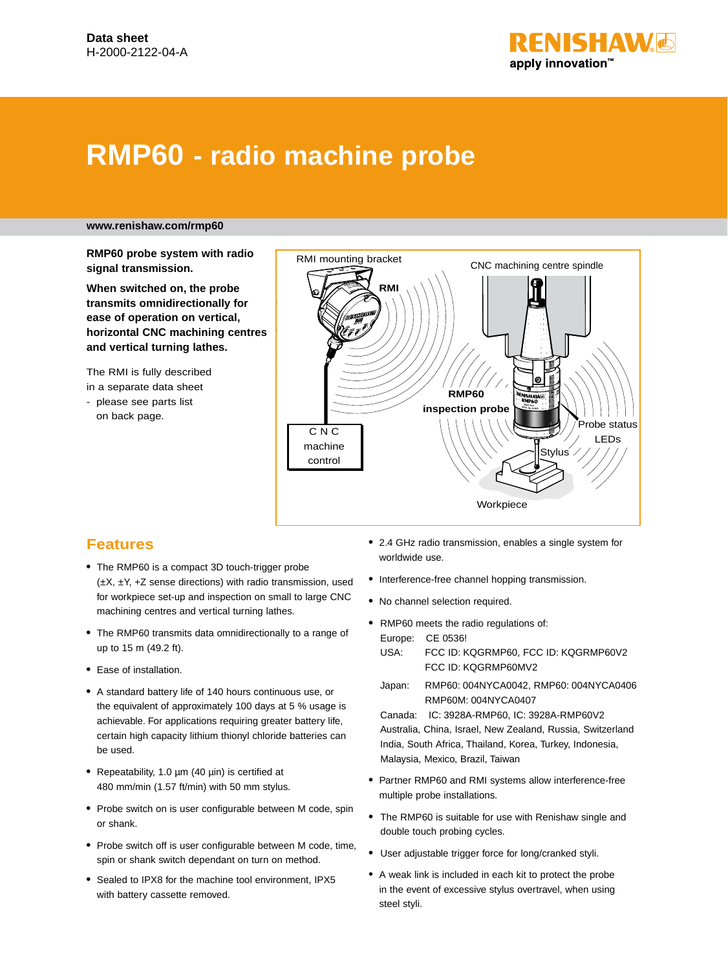

# **RMP60 - radio machine probe**

#### **www.renishaw.com/rmp60**

**RMP60 probe system with radio signal transmission.**

**When switched on, the probe transmits omnidirectionally for ease of operation on vertical, horizontal CNC machining centres and vertical turning lathes.**

The RMI is fully described in a separate data sheet

- please see parts list on back page.



### **Features**

- **•** The RMP60 is a compact 3D touch-trigger probe (±X, ±Y, +Z sense directions) with radio transmission, used for workpiece set-up and inspection on small to large CNC machining centres and vertical turning lathes.
- **•** The RMP60 transmits data omnidirectionally to a range of up to 15 m (49.2 ft).
- **•** Ease of installation.
- **•** A standard battery life of 140 hours continuous use, or the equivalent of approximately 100 days at 5 % usage is achievable. For applications requiring greater battery life, certain high capacity lithium thionyl chloride batteries can be used.
- **•** Repeatability, 1.0 µm (40 µin) is certified at 480 mm/min (1.57 ft/min) with 50 mm stylus.
- **•** Probe switch on is user configurable between M code, spin or shank.
- **•** Probe switch off is user configurable between M code, time, spin or shank switch dependant on turn on method.
- **•** Sealed to IPX8 for the machine tool environment, IPX5 with battery cassette removed.
- **•** 2.4 GHz radio transmission, enables a single system for worldwide use.
- **•** Interference-free channel hopping transmission.
- **•** No channel selection required.
- **•** RMP60 meets the radio regulations of: Europe: CE 0536! USA: FCC ID: KQGRMP60, FCC ID: KQGRMP60V2 FCC ID: KQGRMP60MV2
	- Japan: RMP60: 004NYCA0042, RMP60: 004NYCA0406 RMP60M: 004NYCA0407

Canada: IC: 3928A-RMP60, IC: 3928A-RMP60V2 Australia, China, Israel, New Zealand, Russia, Switzerland India, South Africa, Thailand, Korea, Turkey, Indonesia, Malaysia, Mexico, Brazil, Taiwan

- **•** Partner RMP60 and RMI systems allow interference-free multiple probe installations.
- **•** The RMP60 is suitable for use with Renishaw single and double touch probing cycles.
- **•** User adjustable trigger force for long/cranked styli.
- A weak link is included in each kit to protect the probe in the event of excessive stylus overtravel, when using steel styli.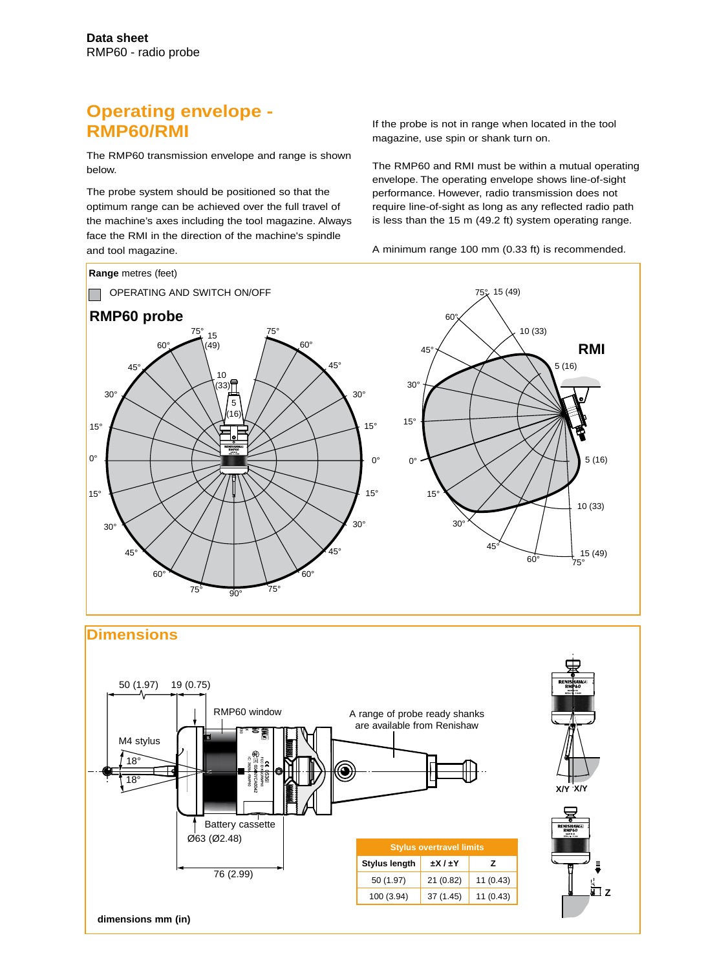# **Operating envelope - RMP60/RMI**

The RMP60 transmission envelope and range is shown below.

The probe system should be positioned so that the optimum range can be achieved over the full travel of the machine's axes including the tool magazine. Always face the RMI in the direction of the machine's spindle and tool magazine.

If the probe is not in range when located in the tool magazine, use spin or shank turn on.

The RMP60 and RMI must be within a mutual operating envelope. The operating envelope shows line-of-sight performance. However, radio transmission does not require line-of-sight as long as any reflected radio path is less than the 15 m (49.2 ft) system operating range.

A minimum range 100 mm (0.33 ft) is recommended.



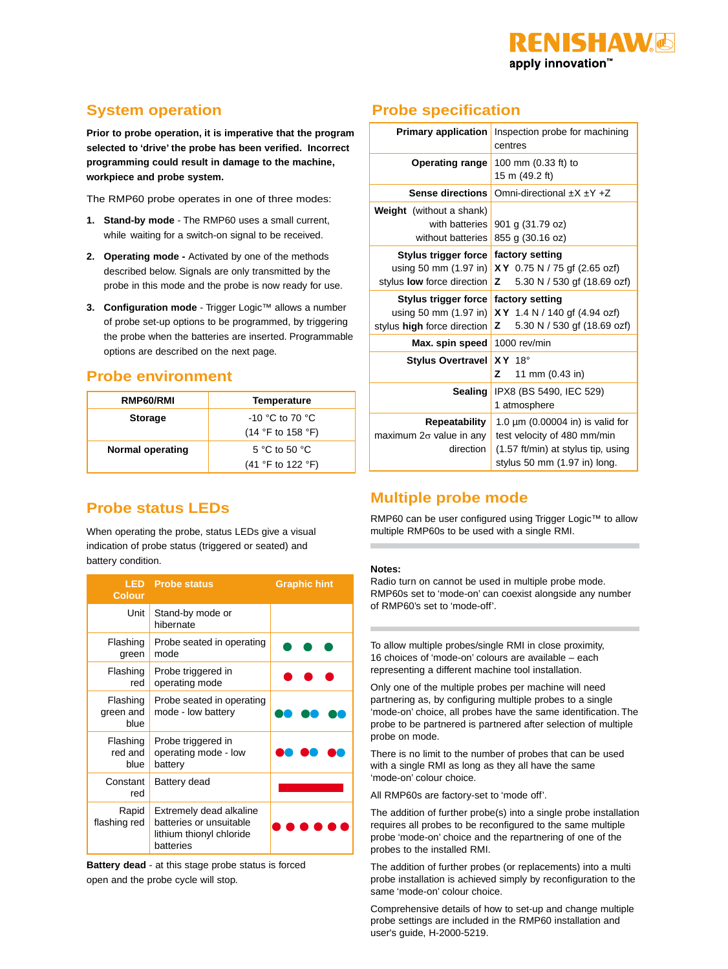

# **System operation**

**Prior to probe operation, it is imperative that the program selected to 'drive' the probe has been verified. Incorrect programming could result in damage to the machine, workpiece and probe system.**

The RMP60 probe operates in one of three modes:

- **1. Stand-by mode**  The RMP60 uses a small current, while waiting for a switch-on signal to be received.
- **2. Operating mode** Activated by one of the methods described below. Signals are only transmitted by the probe in this mode and the probe is now ready for use.
- **3. Configuration mode** Trigger Logic™ allows a number of probe set-up options to be programmed, by triggering the probe when the batteries are inserted. Programmable options are described on the next page.

### **Probe environment**

| RMP60/RMI        | Temperature                                                                     |
|------------------|---------------------------------------------------------------------------------|
| <b>Storage</b>   | $-10$ °C to 70 °C<br>$(14 \text{ }^{\circ}F \text{ to } 158 \text{ }^{\circ}F)$ |
| Normal operating | 5 °C to 50 °C<br>$(41 °F)$ to 122 $°F)$                                         |

## **Probe status LEDs**

When operating the probe, status LEDs give a visual indication of probe status (triggered or seated) and battery condition.

| <b>LED</b><br><b>Colour</b>   | <b>Probe status</b>                                                                         | <b>Graphic hint</b> |
|-------------------------------|---------------------------------------------------------------------------------------------|---------------------|
| Unit                          | Stand-by mode or<br>hibernate                                                               |                     |
| Flashing<br>green             | Probe seated in operating<br>mode                                                           |                     |
| Flashing<br>red               | Probe triggered in<br>operating mode                                                        |                     |
| Flashing<br>green and<br>blue | Probe seated in operating<br>mode - low battery                                             |                     |
| Flashing<br>red and<br>blue   | Probe triggered in<br>operating mode - low<br>battery                                       |                     |
| Constant<br>red               | Battery dead                                                                                |                     |
| Rapid<br>flashing red         | Extremely dead alkaline<br>batteries or unsuitable<br>lithium thionyl chloride<br>batteries |                     |

**Battery dead** - at this stage probe status is forced open and the probe cycle will stop.

# **Probe specification**

| <b>Primary application</b>                                                         | Inspection probe for machining<br>centres                                                                                                  |
|------------------------------------------------------------------------------------|--------------------------------------------------------------------------------------------------------------------------------------------|
| <b>Operating range</b>                                                             | 100 mm (0.33 ft) to<br>15 m (49.2 ft)                                                                                                      |
| <b>Sense directions</b>                                                            | Omni-directional $\pm X \pm Y \pm Z$                                                                                                       |
| <b>Weight</b> (without a shank)<br>with batteries<br>without batteries             | 901 g (31.79 oz)<br>855 g (30.16 oz)                                                                                                       |
| Stylus trigger force<br>using 50 mm (1.97 in)<br>stylus <b>low</b> force direction | factory setting<br>XY 0.75 N / 75 gf (2.65 ozf)<br>5.30 N / 530 gf (18.69 ozf)<br>z                                                        |
| Stylus trigger force<br>using 50 mm (1.97 in)<br>stylus high force direction       | factory setting<br>XY 1.4 N / 140 gf (4.94 ozf)<br>z<br>5.30 N / 530 gf (18.69 ozf)                                                        |
| Max. spin speed                                                                    | 1000 rev/min                                                                                                                               |
| <b>Stylus Overtravel</b>                                                           | $XY$ 18°<br>z<br>11 mm (0.43 in)                                                                                                           |
| <b>Sealing</b>                                                                     | IPX8 (BS 5490, IEC 529)<br>1 atmosphere                                                                                                    |
| Repeatability<br>maximum $2\sigma$ value in any<br>direction                       | 1.0 $\mu$ m (0.00004 in) is valid for<br>test velocity of 480 mm/min<br>(1.57 ft/min) at stylus tip, using<br>stylus 50 mm (1.97 in) long. |

### **Multiple probe mode**

RMP60 can be user configured using Trigger Logic™ to allow multiple RMP60s to be used with a single RMI.

#### **Notes:**

Radio turn on cannot be used in multiple probe mode. RMP60s set to 'mode-on' can coexist alongside any number of RMP60's set to 'mode-off'.

To allow multiple probes/single RMI in close proximity, 16 choices of 'mode-on' colours are available – each representing a different machine tool installation.

Only one of the multiple probes per machine will need partnering as, by configuring multiple probes to a single 'mode-on' choice, all probes have the same identification. The probe to be partnered is partnered after selection of multiple probe on mode.

There is no limit to the number of probes that can be used with a single RMI as long as they all have the same 'mode-on' colour choice.

All RMP60s are factory-set to 'mode off'.

The addition of further probe(s) into a single probe installation requires all probes to be reconfigured to the same multiple probe 'mode-on' choice and the repartnering of one of the probes to the installed RMI.

The addition of further probes (or replacements) into a multi probe installation is achieved simply by reconfiguration to the same 'mode-on' colour choice.

Comprehensive details of how to set-up and change multiple probe settings are included in the RMP60 installation and user's guide, H-2000-5219.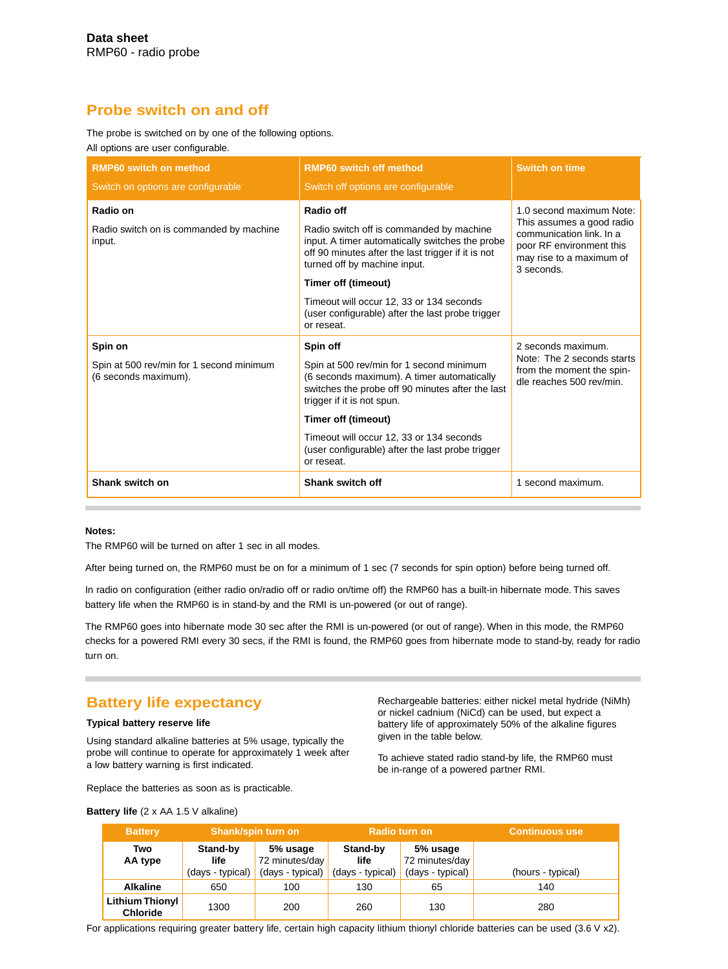### **Probe switch on and off**

The probe is switched on by one of the following options. All options are user configurable.

| <b>RMP60 switch on method</b><br>Switch on options are configurable | <b>RMP60 switch off method</b><br>Switch off options are configurable                                                                                                                                                                                                                                                 | <b>Switch on time</b>                                                                                                                                   |
|---------------------------------------------------------------------|-----------------------------------------------------------------------------------------------------------------------------------------------------------------------------------------------------------------------------------------------------------------------------------------------------------------------|---------------------------------------------------------------------------------------------------------------------------------------------------------|
| Radio on<br>Radio switch on is commanded by machine<br>input.       | Radio off<br>Radio switch off is commanded by machine<br>input. A timer automatically switches the probe<br>off 90 minutes after the last trigger if it is not<br>turned off by machine input.<br>Timer off (timeout)<br>Timeout will occur 12, 33 or 134 seconds<br>(user configurable) after the last probe trigger | 1.0 second maximum Note:<br>This assumes a good radio<br>communication link. In a<br>poor RF environment this<br>may rise to a maximum of<br>3 seconds. |
| Spin on                                                             | or reseat.<br>Spin off                                                                                                                                                                                                                                                                                                | 2 seconds maximum.<br>Note: The 2 seconds starts                                                                                                        |
| Spin at 500 rev/min for 1 second minimum<br>(6 seconds maximum).    | Spin at 500 rev/min for 1 second minimum<br>(6 seconds maximum). A timer automatically<br>switches the probe off 90 minutes after the last<br>trigger if it is not spun.                                                                                                                                              | from the moment the spin-<br>dle reaches 500 rev/min.                                                                                                   |
|                                                                     | Timer off (timeout)                                                                                                                                                                                                                                                                                                   |                                                                                                                                                         |
|                                                                     | Timeout will occur 12, 33 or 134 seconds<br>(user configurable) after the last probe trigger<br>or reseat.                                                                                                                                                                                                            |                                                                                                                                                         |
| Shank switch on                                                     | Shank switch off                                                                                                                                                                                                                                                                                                      | 1 second maximum.                                                                                                                                       |

#### **Notes:**

The RMP60 will be turned on after 1 sec in all modes.

After being turned on, the RMP60 must be on for a minimum of 1 sec (7 seconds for spin option) before being turned off.

In radio on configuration (either radio on/radio off or radio on/time off) the RMP60 has a built-in hibernate mode. This saves battery life when the RMP60 is in stand-by and the RMI is un-powered (or out of range).

The RMP60 goes into hibernate mode 30 sec after the RMI is un-powered (or out of range). When in this mode, the RMP60 checks for a powered RMI every 30 secs, if the RMI is found, the RMP60 goes from hibernate mode to stand-by, ready for radio turn on.

### **Battery life expectancy**

#### **Typical battery reserve life**

Using standard alkaline batteries at 5% usage, typically the probe will continue to operate for approximately 1 week after a low battery warning is first indicated.

Rechargeable batteries: either nickel metal hydride (NiMh) or nickel cadnium (NiCd) can be used, but expect a battery life of approximately 50% of the alkaline figures given in the table below.

To achieve stated radio stand-by life, the RMP60 must be in-range of a powered partner RMI.

Replace the batteries as soon as is practicable.

| <b>Battery</b>                            | <b>Shank/spin turn on</b>            |                                                | Radio turn on                        |                                                | <b>Continuous use</b> |
|-------------------------------------------|--------------------------------------|------------------------------------------------|--------------------------------------|------------------------------------------------|-----------------------|
| Two<br>AA type                            | Stand-by<br>life<br>(days - typical) | 5% usage<br>72 minutes/day<br>(days - typical) | Stand-by<br>life<br>(days - typical) | 5% usage<br>72 minutes/day<br>(days - typical) | (hours - typical)     |
| <b>Alkaline</b>                           | 650                                  | 100                                            | 130                                  | 65                                             | 140                   |
| <b>Lithium Thionyl</b><br><b>Chloride</b> | 1300                                 | 200                                            | 260                                  | 130                                            | 280                   |

#### **Battery life** (2 x AA 1.5 V alkaline)

For applications requiring greater battery life, certain high capacity lithium thionyl chloride batteries can be used (3.6 V x2).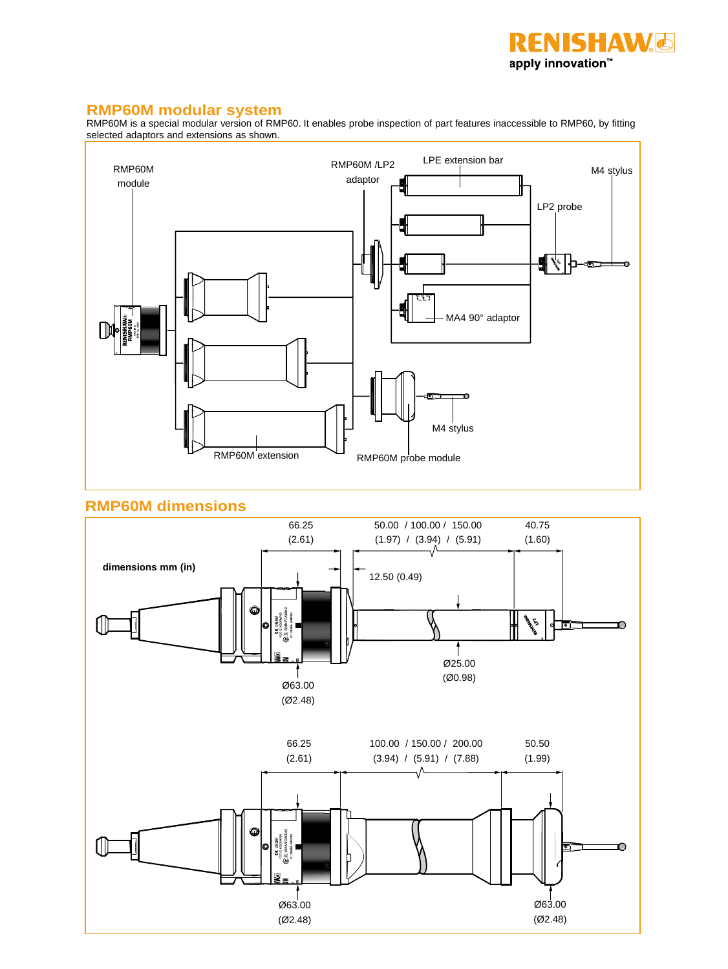

### **RMP60M modular system**

RMP60M is a special modular version of RMP60. It enables probe inspection of part features inaccessible to RMP60, by fitting selected adaptors and extensions as shown.



### **RMP60M dimensions**